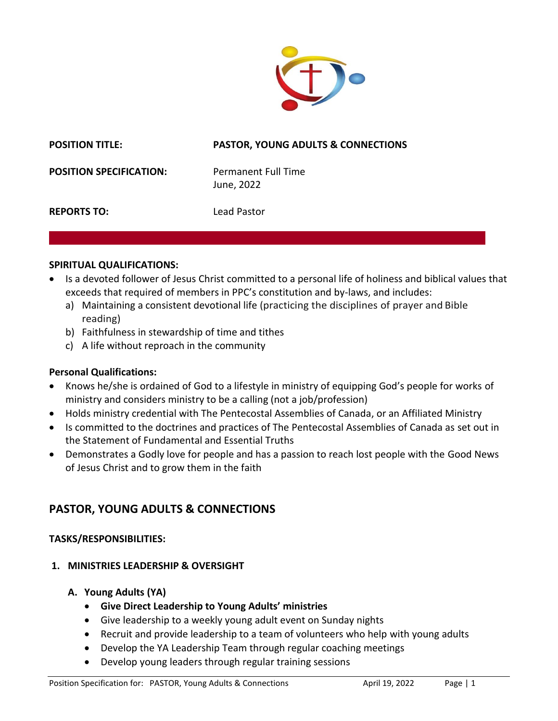

#### **POSITION TITLE: PASTOR, YOUNG ADULTS & CONNECTIONS**

**POSITION SPECIFICATION:** Permanent Full Time

June, 2022

**REPORTS TO:** Lead Pastor

#### **SPIRITUAL QUALIFICATIONS:**

- Is a devoted follower of Jesus Christ committed to a personal life of holiness and biblical values that exceeds that required of members in PPC's constitution and by-laws, and includes:
	- a) Maintaining a consistent devotional life (practicing the disciplines of prayer and Bible reading)
	- b) Faithfulness in stewardship of time and tithes
	- c) A life without reproach in the community

## **Personal Qualifications:**

- Knows he/she is ordained of God to a lifestyle in ministry of equipping God's people for works of ministry and considers ministry to be a calling (not a job/profession)
- Holds ministry credential with The Pentecostal Assemblies of Canada, or an Affiliated Ministry
- Is committed to the doctrines and practices of The Pentecostal Assemblies of Canada as set out in the Statement of Fundamental and Essential Truths
- Demonstrates a Godly love for people and has a passion to reach lost people with the Good News of Jesus Christ and to grow them in the faith

# **PASTOR, YOUNG ADULTS & CONNECTIONS**

#### **TASKS/RESPONSIBILITIES:**

## **1. MINISTRIES LEADERSHIP & OVERSIGHT**

- **A. Young Adults (YA)**
	- **Give Direct Leadership to Young Adults' ministries**
	- Give leadership to a weekly young adult event on Sunday nights
	- Recruit and provide leadership to a team of volunteers who help with young adults
	- Develop the YA Leadership Team through regular coaching meetings
	- Develop young leaders through regular training sessions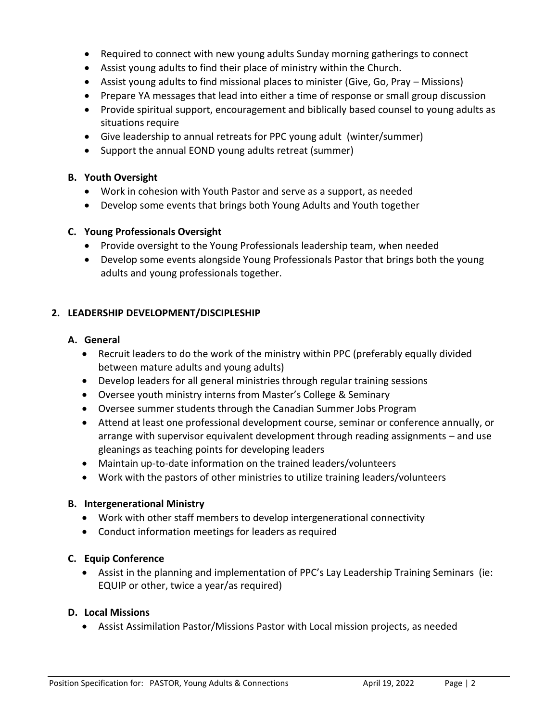- Required to connect with new young adults Sunday morning gatherings to connect
- Assist young adults to find their place of ministry within the Church.
- Assist young adults to find missional places to minister (Give, Go, Pray Missions)
- Prepare YA messages that lead into either a time of response or small group discussion
- Provide spiritual support, encouragement and biblically based counsel to young adults as situations require
- Give leadership to annual retreats for PPC young adult (winter/summer)
- Support the annual EOND young adults retreat (summer)

# **B. Youth Oversight**

- Work in cohesion with Youth Pastor and serve as a support, as needed
- Develop some events that brings both Young Adults and Youth together

# **C. Young Professionals Oversight**

- Provide oversight to the Young Professionals leadership team, when needed
- Develop some events alongside Young Professionals Pastor that brings both the young adults and young professionals together.

# **2. LEADERSHIP DEVELOPMENT/DISCIPLESHIP**

# **A. General**

- Recruit leaders to do the work of the ministry within PPC (preferably equally divided between mature adults and young adults)
- Develop leaders for all general ministries through regular training sessions
- Oversee youth ministry interns from Master's College & Seminary
- Oversee summer students through the Canadian Summer Jobs Program
- Attend at least one professional development course, seminar or conference annually, or arrange with supervisor equivalent development through reading assignments – and use gleanings as teaching points for developing leaders
- Maintain up-to-date information on the trained leaders/volunteers
- Work with the pastors of other ministries to utilize training leaders/volunteers

# **B. Intergenerational Ministry**

- Work with other staff members to develop intergenerational connectivity
- Conduct information meetings for leaders as required

# **C. Equip Conference**

 Assist in the planning and implementation of PPC's Lay Leadership Training Seminars (ie: EQUIP or other, twice a year/as required)

# **D. Local Missions**

Assist Assimilation Pastor/Missions Pastor with Local mission projects, as needed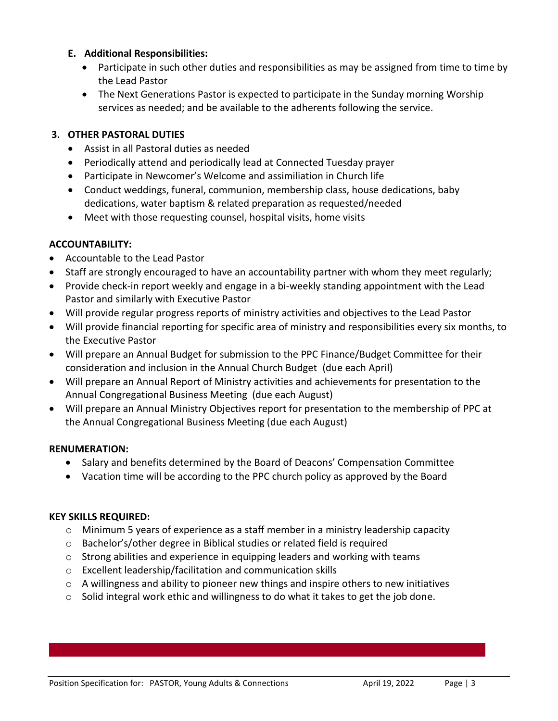#### **E. Additional Responsibilities:**

- Participate in such other duties and responsibilities as may be assigned from time to time by the Lead Pastor
- The Next Generations Pastor is expected to participate in the Sunday morning Worship services as needed; and be available to the adherents following the service.

#### **3. OTHER PASTORAL DUTIES**

- Assist in all Pastoral duties as needed
- Periodically attend and periodically lead at Connected Tuesday prayer
- Participate in Newcomer's Welcome and assimiliation in Church life
- Conduct weddings, funeral, communion, membership class, house dedications, baby dedications, water baptism & related preparation as requested/needed
- Meet with those requesting counsel, hospital visits, home visits

## **ACCOUNTABILITY:**

- Accountable to the Lead Pastor
- Staff are strongly encouraged to have an accountability partner with whom they meet regularly;
- Provide check-in report weekly and engage in a bi-weekly standing appointment with the Lead Pastor and similarly with Executive Pastor
- Will provide regular progress reports of ministry activities and objectives to the Lead Pastor
- Will provide financial reporting for specific area of ministry and responsibilities every six months, to the Executive Pastor
- Will prepare an Annual Budget for submission to the PPC Finance/Budget Committee for their consideration and inclusion in the Annual Church Budget (due each April)
- Will prepare an Annual Report of Ministry activities and achievements for presentation to the Annual Congregational Business Meeting (due each August)
- Will prepare an Annual Ministry Objectives report for presentation to the membership of PPC at the Annual Congregational Business Meeting (due each August)

## **RENUMERATION:**

- Salary and benefits determined by the Board of Deacons' Compensation Committee
- Vacation time will be according to the PPC church policy as approved by the Board

## **KEY SKILLS REQUIRED:**

- o Minimum 5 years of experience as a staff member in a ministry leadership capacity
- o Bachelor's/other degree in Biblical studies or related field is required
- $\circ$  Strong abilities and experience in equipping leaders and working with teams
- o Excellent leadership/facilitation and communication skills
- $\circ$  A willingness and ability to pioneer new things and inspire others to new initiatives
- o Solid integral work ethic and willingness to do what it takes to get the job done.